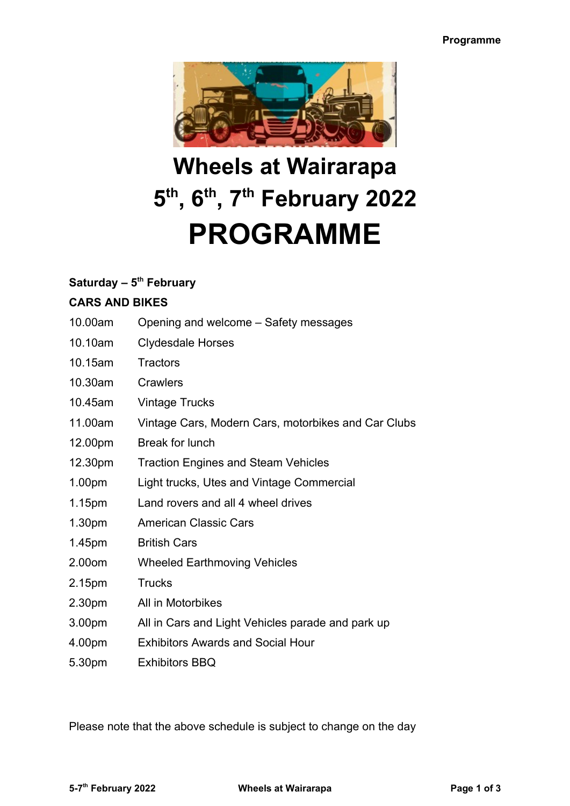

# **Wheels at Wairarapa 5 th, 6th, 7th February 2022 PROGRAMME**

### **Saturday – 5th February**

### **CARS AND BIKES**

- 10.00am Opening and welcome Safety messages
- 10.10am Clydesdale Horses
- 10.15am Tractors
- 10.30am Crawlers
- 10.45am Vintage Trucks
- 11.00am Vintage Cars, Modern Cars, motorbikes and Car Clubs
- 12.00pm Break for lunch
- 12.30pm Traction Engines and Steam Vehicles
- 1.00pm Light trucks, Utes and Vintage Commercial
- 1.15pm Land rovers and all 4 wheel drives
- 1.30pm American Classic Cars
- 1.45pm British Cars
- 2.00om Wheeled Earthmoving Vehicles
- 2.15pm Trucks
- 2.30pm All in Motorbikes
- 3.00pm All in Cars and Light Vehicles parade and park up
- 4.00pm Exhibitors Awards and Social Hour
- 5.30pm Exhibitors BBQ

Please note that the above schedule is subject to change on the day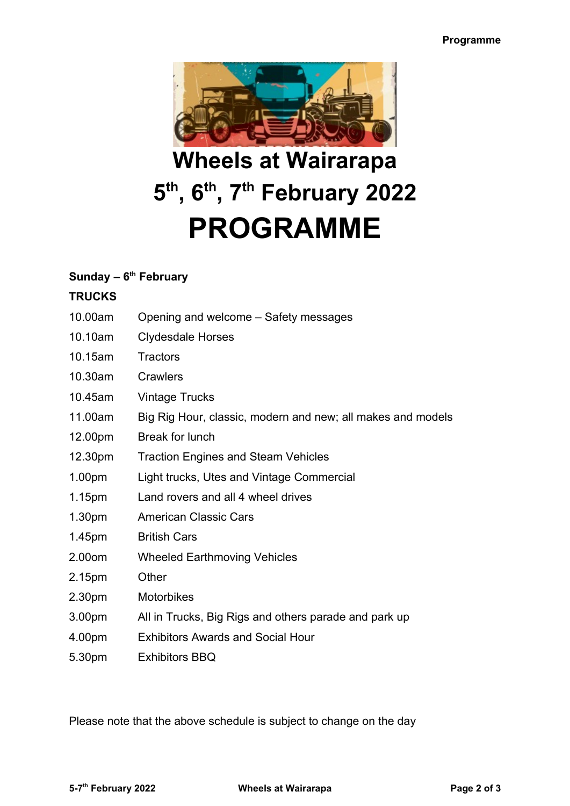

## **Wheels at Wairarapa 5 th, 6th, 7th February 2022 PROGRAMME**

## **Sunday – 6th February**

## **TRUCKS**

- 10.00am Opening and welcome Safety messages
- 10.10am Clydesdale Horses
- 10.15am Tractors
- 10.30am Crawlers
- 10.45am Vintage Trucks
- 11.00am Big Rig Hour, classic, modern and new; all makes and models
- 12.00pm Break for lunch
- 12.30pm Traction Engines and Steam Vehicles
- 1.00pm Light trucks, Utes and Vintage Commercial
- 1.15pm Land rovers and all 4 wheel drives
- 1.30pm American Classic Cars
- 1.45pm British Cars
- 2.00om Wheeled Earthmoving Vehicles
- 2.15pm Other
- 2.30pm Motorbikes
- 3.00pm All in Trucks, Big Rigs and others parade and park up
- 4.00pm Exhibitors Awards and Social Hour
- 5.30pm Exhibitors BBQ

Please note that the above schedule is subject to change on the day